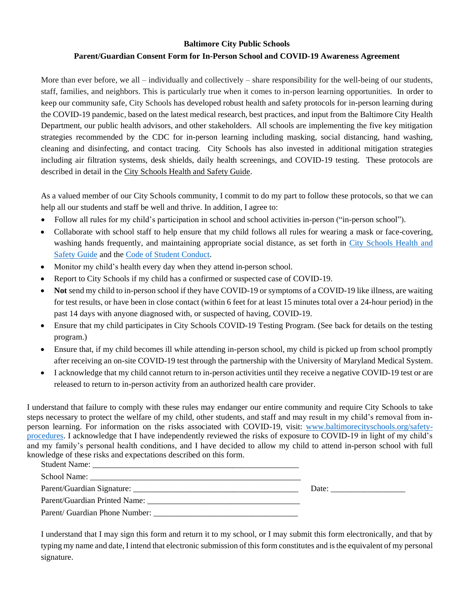# **Baltimore City Public Schools Parent/Guardian Consent Form for In-Person School and COVID-19 Awareness Agreement**

More than ever before, we all – individually and collectively – share responsibility for the well-being of our students, staff, families, and neighbors. This is particularly true when it comes to in-person learning opportunities. In order to keep our community safe, City Schools has developed robust health and safety protocols for in-person learning during the COVID-19 pandemic, based on the latest medical research, best practices, and input from the Baltimore City Health Department, our public health advisors, and other stakeholders. All schools are implementing the five key mitigation strategies recommended by the CDC for in-person learning including masking, social distancing, hand washing, cleaning and disinfecting, and contact tracing. City Schools has also invested in additional mitigation strategies including air filtration systems, desk shields, daily health screenings, and COVID-19 testing. These protocols are described in detail in the City Schools Health and Safety Guide.

As a valued member of our City Schools community, I commit to do my part to follow these protocols, so that we can help all our students and staff be well and thrive. In addition, I agree to:

- Follow all rules for my child's participation in school and school activities in-person ("in-person school").
- Collaborate with school staff to help ensure that my child follows all rules for wearing a mask or face-covering, washing hands frequently, and maintaining appropriate social distance, as set forth in City Schools Health and Safety Guide and the Code of Student Conduct.
- Monitor my child's health every day when they attend in-person school.
- Report to City Schools if my child has a confirmed or suspected case of COVID-19.
- **Not** send my child to in-person school if they have COVID-19 or symptoms of a COVID-19 like illness, are waiting for test results, or have been in close contact (within 6 feet for at least 15 minutes total over a 24-hour period) in the past 14 days with anyone diagnosed with, or suspected of having, COVID-19.
- Ensure that my child participates in City Schools COVID-19 Testing Program. (See back for details on the testing program.)
- Ensure that, if my child becomes ill while attending in-person school, my child is picked up from school promptly after receiving an on-site COVID-19 test through the partnership with the University of Maryland Medical System.
- I acknowledge that my child cannot return to in-person activities until they receive a negative COVID-19 test or are released to return to in-person activity from an authorized health care provider.

I understand that failure to comply with these rules may endanger our entire community and require City Schools to take steps necessary to protect the welfare of my child, other students, and staff and may result in my child's removal from inperson learning. For information on the risks associated with COVID-19, visit: www.baltimorecityschools.org/safetyprocedures. I acknowledge that I have independently reviewed the risks of exposure to COVID-19 in light of my child's and my family's personal health conditions, and I have decided to allow my child to attend in-person school with full knowledge of these risks and expectations described on this form.

|                                | Date: $\qquad \qquad \qquad$ |
|--------------------------------|------------------------------|
|                                |                              |
| Parent/ Guardian Phone Number: |                              |

I understand that I may sign this form and return it to my school, or I may submit this form electronically, and that by typing my name and date, I intend that electronic submission of this form constitutes and is the equivalent of my personal signature.